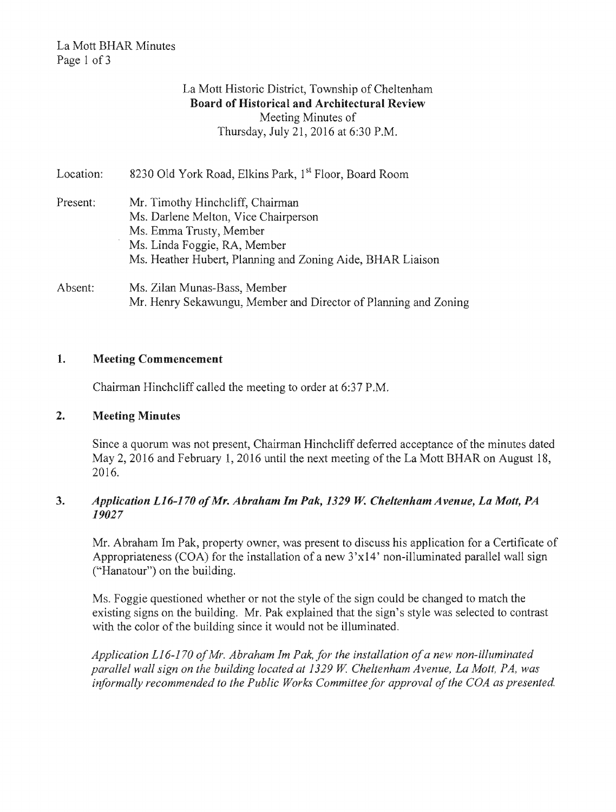# La Mott District, Township of Cheltenham Board of Historical and Architectural Meeting Minutes of Thursday, July 21, 2016 at 6:30 P.M.

| Location: | 8230 Old York Road, Elkins Park, 1st Floor, Board Room          |
|-----------|-----------------------------------------------------------------|
| Present:  | Mr. Timothy Hincheliff, Chairman                                |
|           | Ms. Darlene Melton, Vice Chairperson                            |
|           | Ms. Emma Trusty, Member                                         |
|           | Ms. Linda Foggie, RA, Member                                    |
|           | Ms. Heather Hubert, Planning and Zoning Aide, BHAR Liaison      |
| Absent:   | Ms. Zilan Munas-Bass, Member                                    |
|           | Mr. Henry Sekawungu, Member and Director of Planning and Zoning |

## 1. Meeting Commencement

Chairman Hinchcliff called the meeting to order at  $6:37$  P.M.

## 2. Meeting Minutes

Since a quorum was not present, Chairman Hinchcliff deferred acceptance of the minutes dated May 2, 2016 and February 1, 2016 until the next meeting of the La Mott BHAR on August 18, 2016.

## 3. Application L16-170 of Mr. Abraham Im Pak, 1329 W. Cheltenham Avenue, La Mott, PA *19027*

Mr. Abraham Im Pak, property owner, was present to discuss his application for a Certificate of Appropriateness (COA) for the installation of a new  $3'x14'$  non-illuminated parallel wall sign ("Hanatour") on the building.

Ms. Foggie questioned whether or not the style of the sign could be changed to match the existing signs on the building. Mr. Pak explained that the sign's style was selected to contrast with the color of the building since it would not be illuminated.

*L16-1 ofMr. Abraham 1m Pak, for the installation ofa new non-illuminated parallel wall sign on the building located at 1329 W. Cheltenham Avenue, La Mott, PA, was* informally recommended to the Public Works Committee for approval of the COA as presented.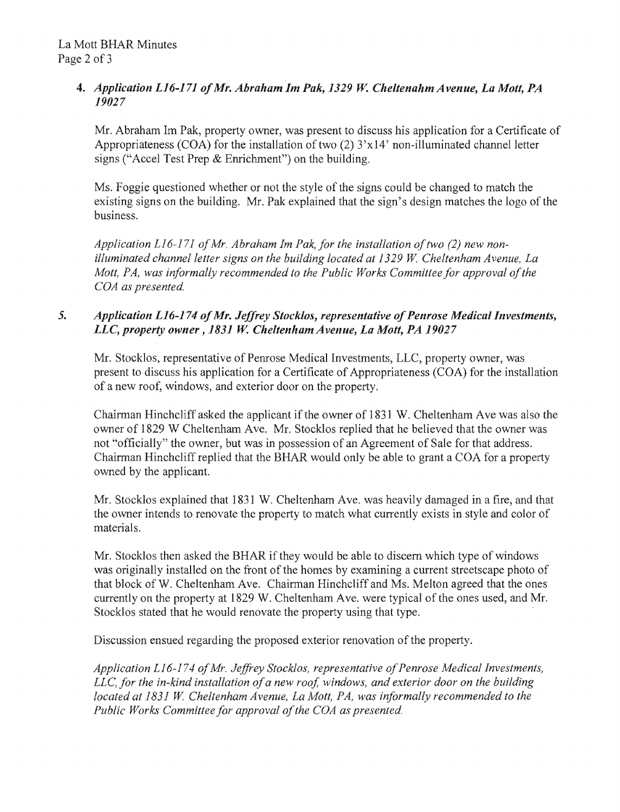## 4. *Application L16-171 of Mr. Abraham Im Pak, 1329 W. Cheltenahm Avenue, La Mott, PA 19027*

Mr. Abraham Im Pak, property owner, was present to discuss his application for a Certificate of Appropriateness (COA) for the installation of two  $(2)$  3'x14' non-illuminated channel letter signs ("Accel Test Prep & Enrichment") on the building.

Ms. Foggie questioned whether or not the style of the signs could be changed to match the existing signs on the building. Mr. Pak explained that the sign's design matches the logo of the business.

*71 of Mr. Abraham Im Pak, for the installation of two (2) new* illuminated channel letter signs on the building located at 1329 W. Cheltenham Avenue, La Mott, PA, was informally recommended to the Public Works Committee for approval of the COA as presented. *non-*

# 5. *Application L16-174 of Mr. Jeffrey Stocklos, representative of Penrose Medical Investments, LLC, property owner, 1831 W. Cheltenham Avenue, La Mott, PA 19027*

Mr. Stocklos, representative of Penrose Medical Investments, LLC, property owner, was to discuss his application for a Certificate of Appropriateness (COA) for the installation of a new roof, windows, and exterior door on

owner of 1829 W Cheltenham Ave. Mr. Stocklos replied that he believed that the owner was not "officially" the owner, but was in possession of an Agreement of Sale for that Chairman Hinchcliff replied that the owned by the applicant. Chairman Hinchcliff asked the applicant if the owner of 1831 W. Cheltenham Ave was also the

Mr. Stocklos explained that 1831 W. Cheltenham Ave. was heavily damaged in a the owner intends to renovate the property to match what currently exists in style materials.

Mr. Stocklos then asked the BHAR if they would be able to discern which type of windows was originally installed on the front of the homes by examining a current streetscape photo of that block of W. Cheltenham Ave. Chairman Hinchcliff and Ms. Melton agreed that the ones on the property at 1829 W. Cheltenham Ave. were typical of the ones used, and Mr. tocklos stated that he would renovate the property using that type.

iscussion ensued regarding the proposed exterior renovation of t

L16-174 of Mr. Jeffrey Stocklos, representative *the in-kind installation of a new roof, windows, and exterior door on the building located at 1831 W. Cheltenham Avenue, La Mott, PA, was informally recommended to the* Public Works Committee for approval of the COA as presented.